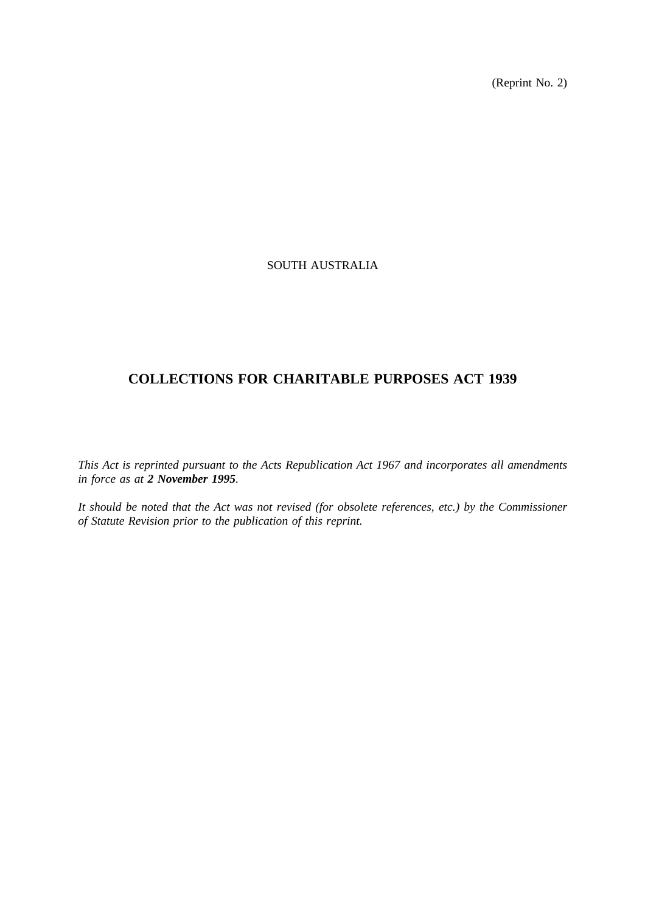(Reprint No. 2)

## SOUTH AUSTRALIA

## **COLLECTIONS FOR CHARITABLE PURPOSES ACT 1939**

*This Act is reprinted pursuant to the Acts Republication Act 1967 and incorporates all amendments in force as at 2 November 1995.*

*It should be noted that the Act was not revised (for obsolete references, etc.) by the Commissioner of Statute Revision prior to the publication of this reprint.*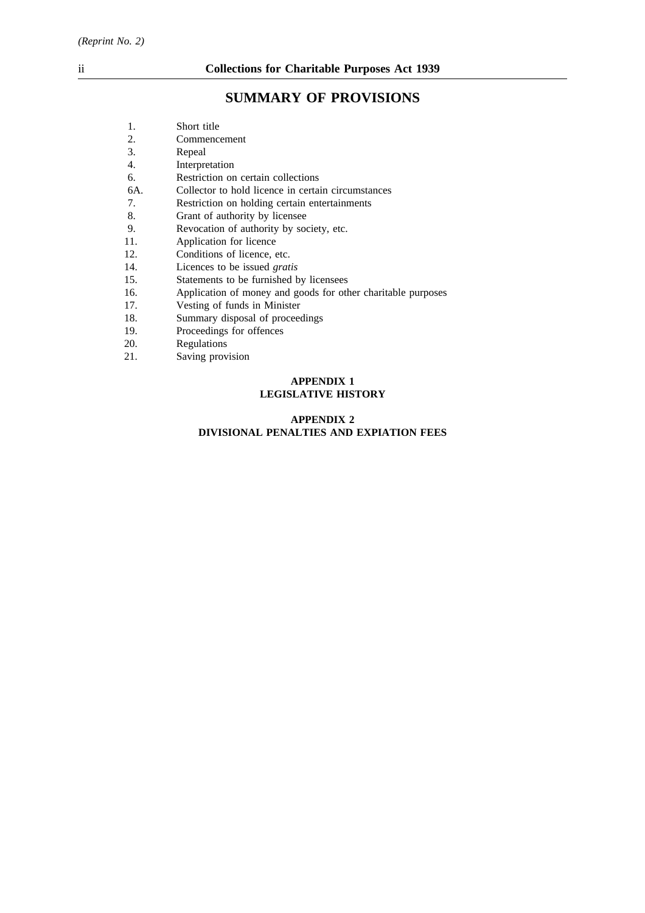# **SUMMARY OF PROVISIONS**

| 1.  | Short title                                                  |  |  |
|-----|--------------------------------------------------------------|--|--|
| 2.  | Commencement                                                 |  |  |
| 3.  | Repeal                                                       |  |  |
| 4.  | Interpretation                                               |  |  |
| 6.  | Restriction on certain collections                           |  |  |
| 6A. | Collector to hold licence in certain circumstances           |  |  |
| 7.  | Restriction on holding certain entertainments                |  |  |
| 8.  | Grant of authority by licensee                               |  |  |
| 9.  | Revocation of authority by society, etc.                     |  |  |
| 11. | Application for licence                                      |  |  |
| 12. | Conditions of licence, etc.                                  |  |  |
| 14. | Licences to be issued gratis                                 |  |  |
| 15. | Statements to be furnished by licensees                      |  |  |
| 16. | Application of money and goods for other charitable purposes |  |  |
| 17. | Vesting of funds in Minister                                 |  |  |
| 18. | Summary disposal of proceedings                              |  |  |
| 19. | Proceedings for offences                                     |  |  |
| 20. | Regulations                                                  |  |  |
| 21. | Saving provision                                             |  |  |
|     | <b>APPENDIX 1</b>                                            |  |  |

# **LEGISLATIVE HISTORY**

## **APPENDIX 2 DIVISIONAL PENALTIES AND EXPIATION FEES**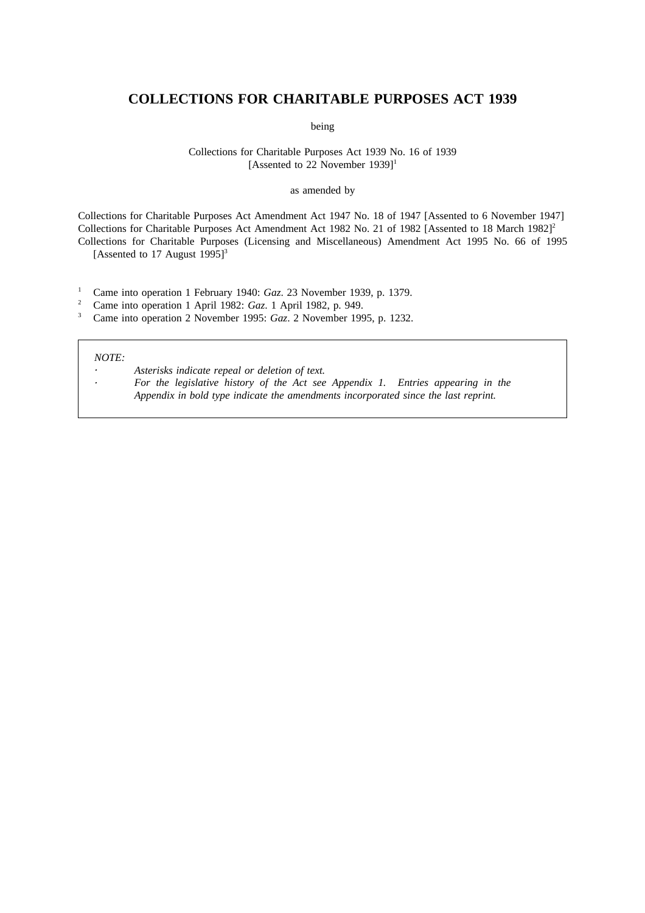## **COLLECTIONS FOR CHARITABLE PURPOSES ACT 1939**

being

#### Collections for Charitable Purposes Act 1939 No. 16 of 1939 [Assented to 22 November 1939]<sup>1</sup>

#### as amended by

Collections for Charitable Purposes Act Amendment Act 1947 No. 18 of 1947 [Assented to 6 November 1947] Collections for Charitable Purposes Act Amendment Act 1982 No. 21 of 1982 [Assented to 18 March 1982]<sup>2</sup> Collections for Charitable Purposes (Licensing and Miscellaneous) Amendment Act 1995 No. 66 of 1995 [Assented to 17 August  $1995$ ]<sup>3</sup>

<sup>1</sup> Came into operation 1 February 1940: *Gaz*. 23 November 1939, p. 1379.<br><sup>2</sup> Came into operation 1 April 1982: *Gaz*. 1 April 1982, p. 949.

<sup>2</sup> Came into operation 1 April 1982: *Gaz*. 1 April 1982, p. 949.<br><sup>3</sup> Came into operation 2 November 1995: *Gaz*. 2 November 199

<sup>3</sup> Came into operation 2 November 1995: *Gaz*. 2 November 1995, p. 1232.

#### *NOTE:*

*Asterisks indicate repeal or deletion of text. For the legislative history of the Act see Appendix 1. Entries appearing in the Appendix in bold type indicate the amendments incorporated since the last reprint.*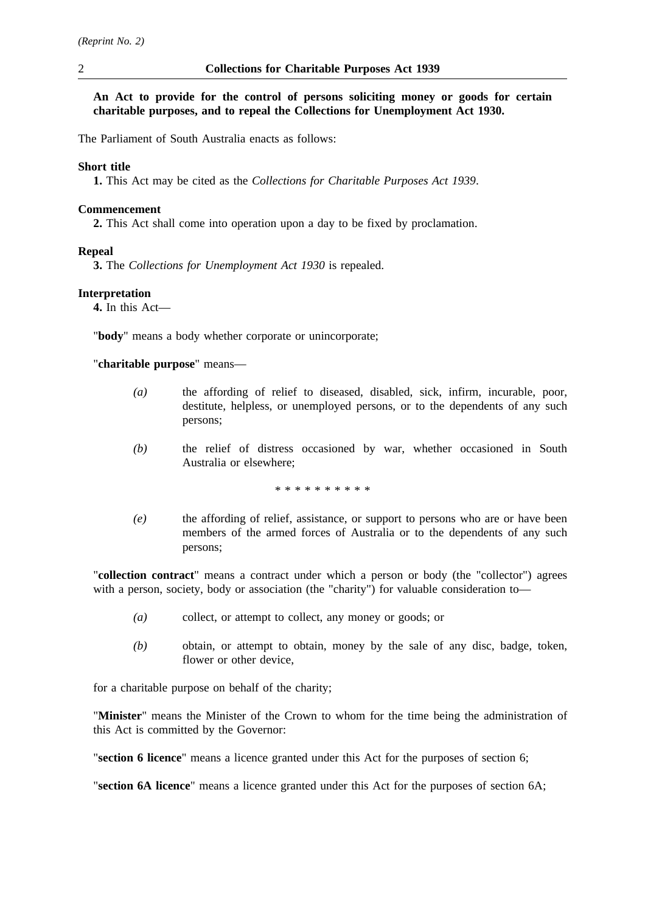## **An Act to provide for the control of persons soliciting money or goods for certain charitable purposes, and to repeal the Collections for Unemployment Act 1930.**

The Parliament of South Australia enacts as follows:

#### **Short title**

**1.** This Act may be cited as the *Collections for Charitable Purposes Act 1939*.

#### **Commencement**

**2.** This Act shall come into operation upon a day to be fixed by proclamation.

#### **Repeal**

**3.** The *Collections for Unemployment Act 1930* is repealed.

## **Interpretation**

**4.** In this Act—

"**body**" means a body whether corporate or unincorporate;

"**charitable purpose**" means—

- *(a)* the affording of relief to diseased, disabled, sick, infirm, incurable, poor, destitute, helpless, or unemployed persons, or to the dependents of any such persons;
- *(b)* the relief of distress occasioned by war, whether occasioned in South Australia or elsewhere;

\*\*\*\*\*\*\*\*\*\*

*(e)* the affording of relief, assistance, or support to persons who are or have been members of the armed forces of Australia or to the dependents of any such persons;

"**collection contract**" means a contract under which a person or body (the "collector") agrees with a person, society, body or association (the "charity") for valuable consideration to—

- *(a)* collect, or attempt to collect, any money or goods; or
- *(b)* obtain, or attempt to obtain, money by the sale of any disc, badge, token, flower or other device,

for a charitable purpose on behalf of the charity;

"**Minister**" means the Minister of the Crown to whom for the time being the administration of this Act is committed by the Governor:

"**section 6 licence**" means a licence granted under this Act for the purposes of section 6;

"**section 6A licence**" means a licence granted under this Act for the purposes of section 6A;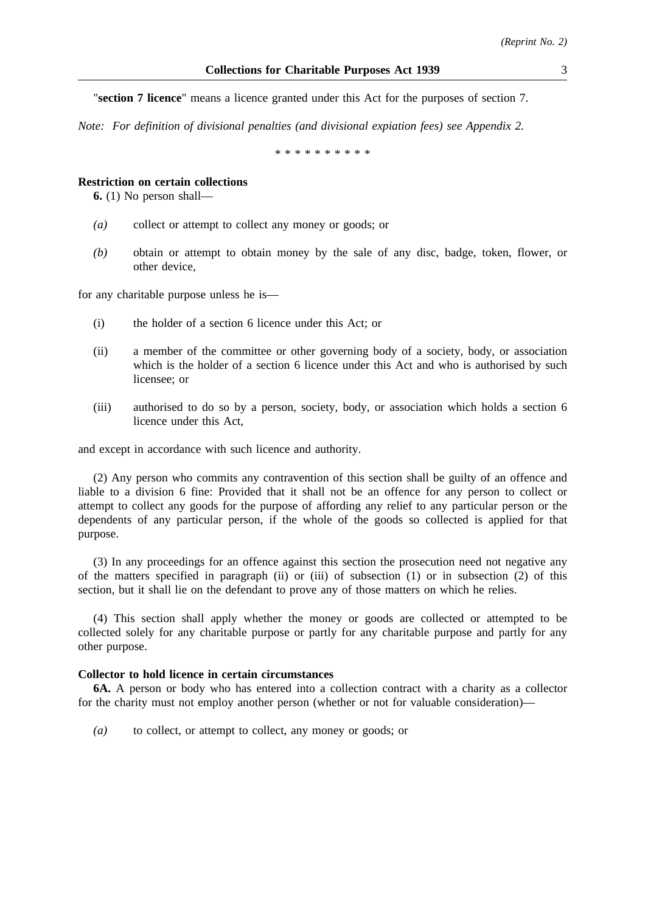"**section 7 licence**" means a licence granted under this Act for the purposes of section 7.

*Note: For definition of divisional penalties (and divisional expiation fees) see Appendix 2.*

\*\*\*\*\*\*\*\*\*\*\*\*\*\*\*\*

#### **Restriction on certain collections**

**6.** (1) No person shall—

- *(a)* collect or attempt to collect any money or goods; or
- *(b)* obtain or attempt to obtain money by the sale of any disc, badge, token, flower, or other device,

for any charitable purpose unless he is—

- (i) the holder of a section 6 licence under this Act; or
- (ii) a member of the committee or other governing body of a society, body, or association which is the holder of a section 6 licence under this Act and who is authorised by such licensee; or
- (iii) authorised to do so by a person, society, body, or association which holds a section 6 licence under this Act,

and except in accordance with such licence and authority.

(2) Any person who commits any contravention of this section shall be guilty of an offence and liable to a division 6 fine: Provided that it shall not be an offence for any person to collect or attempt to collect any goods for the purpose of affording any relief to any particular person or the dependents of any particular person, if the whole of the goods so collected is applied for that purpose.

(3) In any proceedings for an offence against this section the prosecution need not negative any of the matters specified in paragraph (ii) or (iii) of subsection (1) or in subsection (2) of this section, but it shall lie on the defendant to prove any of those matters on which he relies.

(4) This section shall apply whether the money or goods are collected or attempted to be collected solely for any charitable purpose or partly for any charitable purpose and partly for any other purpose.

#### **Collector to hold licence in certain circumstances**

**6A.** A person or body who has entered into a collection contract with a charity as a collector for the charity must not employ another person (whether or not for valuable consideration)—

*(a)* to collect, or attempt to collect, any money or goods; or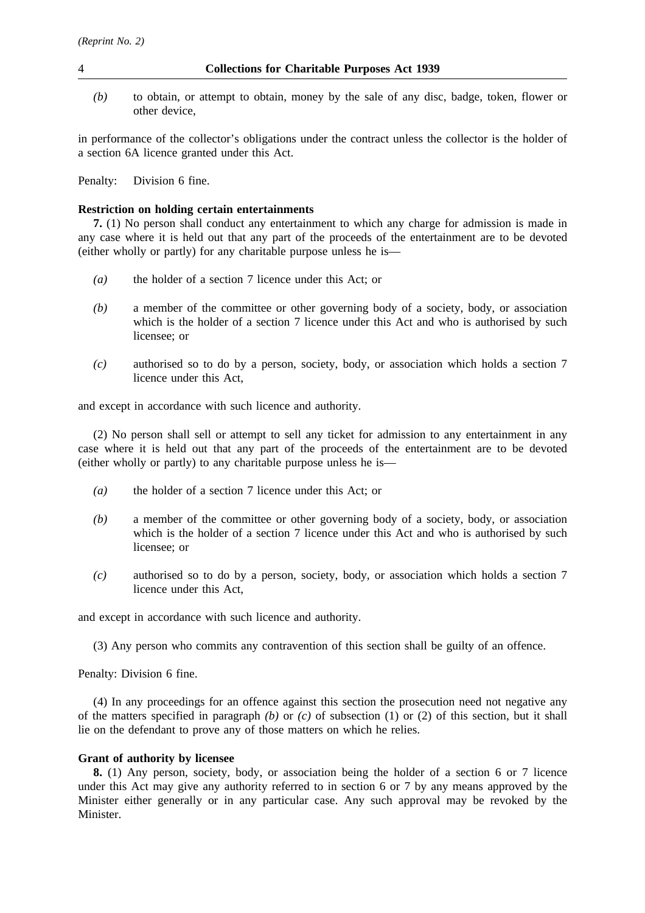- 4 **Collections for Charitable Purposes Act 1939**
	- *(b)* to obtain, or attempt to obtain, money by the sale of any disc, badge, token, flower or other device,

in performance of the collector's obligations under the contract unless the collector is the holder of a section 6A licence granted under this Act.

Penalty: Division 6 fine.

## **Restriction on holding certain entertainments**

**7.** (1) No person shall conduct any entertainment to which any charge for admission is made in any case where it is held out that any part of the proceeds of the entertainment are to be devoted (either wholly or partly) for any charitable purpose unless he is—

- *(a)* the holder of a section 7 licence under this Act; or
- *(b)* a member of the committee or other governing body of a society, body, or association which is the holder of a section 7 licence under this Act and who is authorised by such licensee; or
- *(c)* authorised so to do by a person, society, body, or association which holds a section 7 licence under this Act,

and except in accordance with such licence and authority.

(2) No person shall sell or attempt to sell any ticket for admission to any entertainment in any case where it is held out that any part of the proceeds of the entertainment are to be devoted (either wholly or partly) to any charitable purpose unless he is—

- *(a)* the holder of a section 7 licence under this Act; or
- *(b)* a member of the committee or other governing body of a society, body, or association which is the holder of a section 7 licence under this Act and who is authorised by such licensee; or
- *(c)* authorised so to do by a person, society, body, or association which holds a section 7 licence under this Act,

and except in accordance with such licence and authority.

(3) Any person who commits any contravention of this section shall be guilty of an offence.

Penalty: Division 6 fine.

(4) In any proceedings for an offence against this section the prosecution need not negative any of the matters specified in paragraph *(b)* or *(c)* of subsection (1) or (2) of this section, but it shall lie on the defendant to prove any of those matters on which he relies.

#### **Grant of authority by licensee**

**8.** (1) Any person, society, body, or association being the holder of a section 6 or 7 licence under this Act may give any authority referred to in section 6 or 7 by any means approved by the Minister either generally or in any particular case. Any such approval may be revoked by the Minister.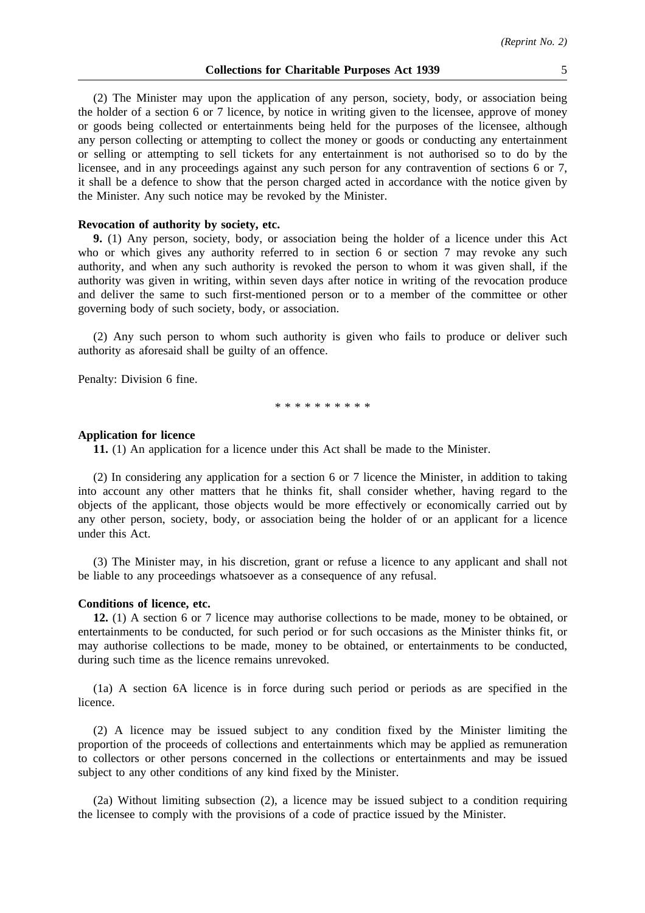(2) The Minister may upon the application of any person, society, body, or association being the holder of a section 6 or 7 licence, by notice in writing given to the licensee, approve of money or goods being collected or entertainments being held for the purposes of the licensee, although any person collecting or attempting to collect the money or goods or conducting any entertainment or selling or attempting to sell tickets for any entertainment is not authorised so to do by the licensee, and in any proceedings against any such person for any contravention of sections 6 or 7, it shall be a defence to show that the person charged acted in accordance with the notice given by the Minister. Any such notice may be revoked by the Minister.

#### **Revocation of authority by society, etc.**

**9.** (1) Any person, society, body, or association being the holder of a licence under this Act who or which gives any authority referred to in section 6 or section 7 may revoke any such authority, and when any such authority is revoked the person to whom it was given shall, if the authority was given in writing, within seven days after notice in writing of the revocation produce and deliver the same to such first-mentioned person or to a member of the committee or other governing body of such society, body, or association.

(2) Any such person to whom such authority is given who fails to produce or deliver such authority as aforesaid shall be guilty of an offence.

Penalty: Division 6 fine.

\*\*\*\*\*\*\*\*\*\*

#### **Application for licence**

**11.** (1) An application for a licence under this Act shall be made to the Minister.

(2) In considering any application for a section 6 or 7 licence the Minister, in addition to taking into account any other matters that he thinks fit, shall consider whether, having regard to the objects of the applicant, those objects would be more effectively or economically carried out by any other person, society, body, or association being the holder of or an applicant for a licence under this Act.

(3) The Minister may, in his discretion, grant or refuse a licence to any applicant and shall not be liable to any proceedings whatsoever as a consequence of any refusal.

#### **Conditions of licence, etc.**

**12.** (1) A section 6 or 7 licence may authorise collections to be made, money to be obtained, or entertainments to be conducted, for such period or for such occasions as the Minister thinks fit, or may authorise collections to be made, money to be obtained, or entertainments to be conducted, during such time as the licence remains unrevoked.

(1a) A section 6A licence is in force during such period or periods as are specified in the licence.

(2) A licence may be issued subject to any condition fixed by the Minister limiting the proportion of the proceeds of collections and entertainments which may be applied as remuneration to collectors or other persons concerned in the collections or entertainments and may be issued subject to any other conditions of any kind fixed by the Minister.

(2a) Without limiting subsection (2), a licence may be issued subject to a condition requiring the licensee to comply with the provisions of a code of practice issued by the Minister.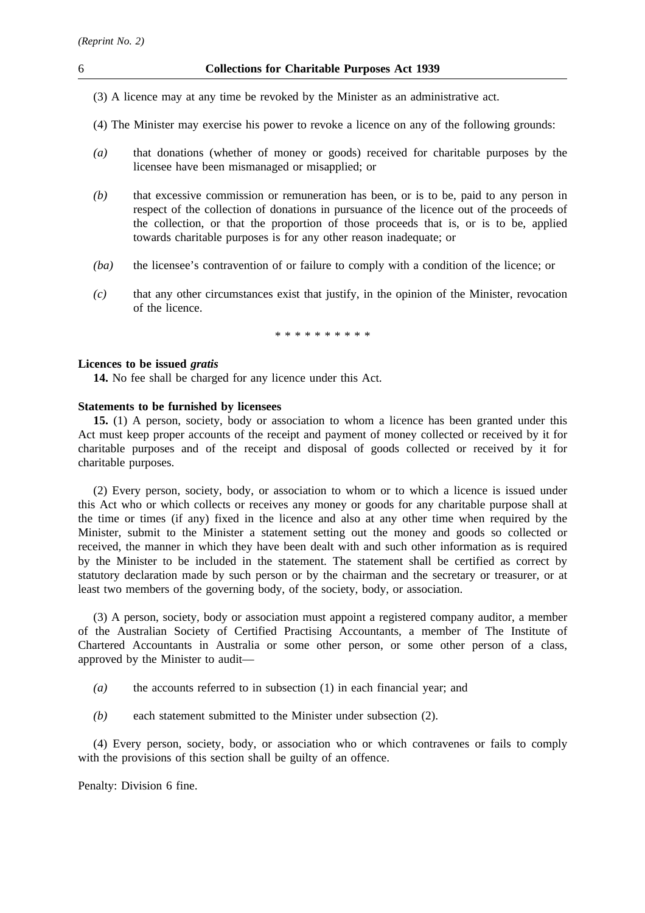- (3) A licence may at any time be revoked by the Minister as an administrative act.
- (4) The Minister may exercise his power to revoke a licence on any of the following grounds:
- *(a)* that donations (whether of money or goods) received for charitable purposes by the licensee have been mismanaged or misapplied; or
- *(b)* that excessive commission or remuneration has been, or is to be, paid to any person in respect of the collection of donations in pursuance of the licence out of the proceeds of the collection, or that the proportion of those proceeds that is, or is to be, applied towards charitable purposes is for any other reason inadequate; or
- *(ba)* the licensee's contravention of or failure to comply with a condition of the licence; or
- *(c)* that any other circumstances exist that justify, in the opinion of the Minister, revocation of the licence.

\*\*\*\*\*\*\*\*\*\*

#### **Licences to be issued** *gratis*

**14.** No fee shall be charged for any licence under this Act.

#### **Statements to be furnished by licensees**

**15.** (1) A person, society, body or association to whom a licence has been granted under this Act must keep proper accounts of the receipt and payment of money collected or received by it for charitable purposes and of the receipt and disposal of goods collected or received by it for charitable purposes.

(2) Every person, society, body, or association to whom or to which a licence is issued under this Act who or which collects or receives any money or goods for any charitable purpose shall at the time or times (if any) fixed in the licence and also at any other time when required by the Minister, submit to the Minister a statement setting out the money and goods so collected or received, the manner in which they have been dealt with and such other information as is required by the Minister to be included in the statement. The statement shall be certified as correct by statutory declaration made by such person or by the chairman and the secretary or treasurer, or at least two members of the governing body, of the society, body, or association.

(3) A person, society, body or association must appoint a registered company auditor, a member of the Australian Society of Certified Practising Accountants, a member of The Institute of Chartered Accountants in Australia or some other person, or some other person of a class, approved by the Minister to audit—

- *(a)* the accounts referred to in subsection (1) in each financial year; and
- *(b)* each statement submitted to the Minister under subsection (2).

(4) Every person, society, body, or association who or which contravenes or fails to comply with the provisions of this section shall be guilty of an offence.

Penalty: Division 6 fine.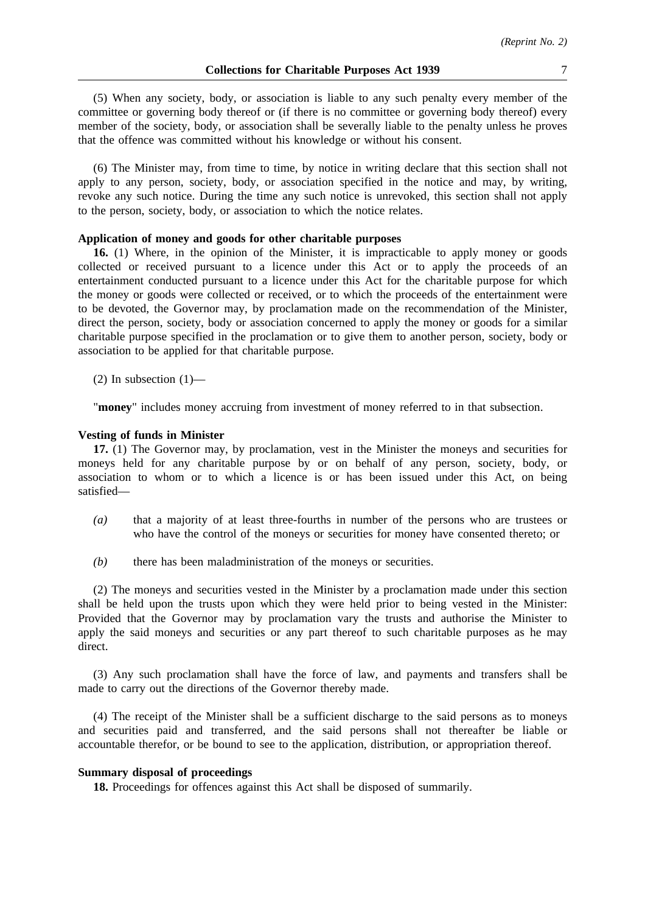(5) When any society, body, or association is liable to any such penalty every member of the committee or governing body thereof or (if there is no committee or governing body thereof) every member of the society, body, or association shall be severally liable to the penalty unless he proves that the offence was committed without his knowledge or without his consent.

(6) The Minister may, from time to time, by notice in writing declare that this section shall not apply to any person, society, body, or association specified in the notice and may, by writing, revoke any such notice. During the time any such notice is unrevoked, this section shall not apply to the person, society, body, or association to which the notice relates.

## **Application of money and goods for other charitable purposes**

**16.** (1) Where, in the opinion of the Minister, it is impracticable to apply money or goods collected or received pursuant to a licence under this Act or to apply the proceeds of an entertainment conducted pursuant to a licence under this Act for the charitable purpose for which the money or goods were collected or received, or to which the proceeds of the entertainment were to be devoted, the Governor may, by proclamation made on the recommendation of the Minister, direct the person, society, body or association concerned to apply the money or goods for a similar charitable purpose specified in the proclamation or to give them to another person, society, body or association to be applied for that charitable purpose.

(2) In subsection  $(1)$ —

"**money**" includes money accruing from investment of money referred to in that subsection.

#### **Vesting of funds in Minister**

**17.** (1) The Governor may, by proclamation, vest in the Minister the moneys and securities for moneys held for any charitable purpose by or on behalf of any person, society, body, or association to whom or to which a licence is or has been issued under this Act, on being satisfied—

- *(a)* that a majority of at least three-fourths in number of the persons who are trustees or who have the control of the moneys or securities for money have consented thereto; or
- *(b)* there has been maladministration of the moneys or securities.

(2) The moneys and securities vested in the Minister by a proclamation made under this section shall be held upon the trusts upon which they were held prior to being vested in the Minister: Provided that the Governor may by proclamation vary the trusts and authorise the Minister to apply the said moneys and securities or any part thereof to such charitable purposes as he may direct.

(3) Any such proclamation shall have the force of law, and payments and transfers shall be made to carry out the directions of the Governor thereby made.

(4) The receipt of the Minister shall be a sufficient discharge to the said persons as to moneys and securities paid and transferred, and the said persons shall not thereafter be liable or accountable therefor, or be bound to see to the application, distribution, or appropriation thereof.

#### **Summary disposal of proceedings**

**18.** Proceedings for offences against this Act shall be disposed of summarily.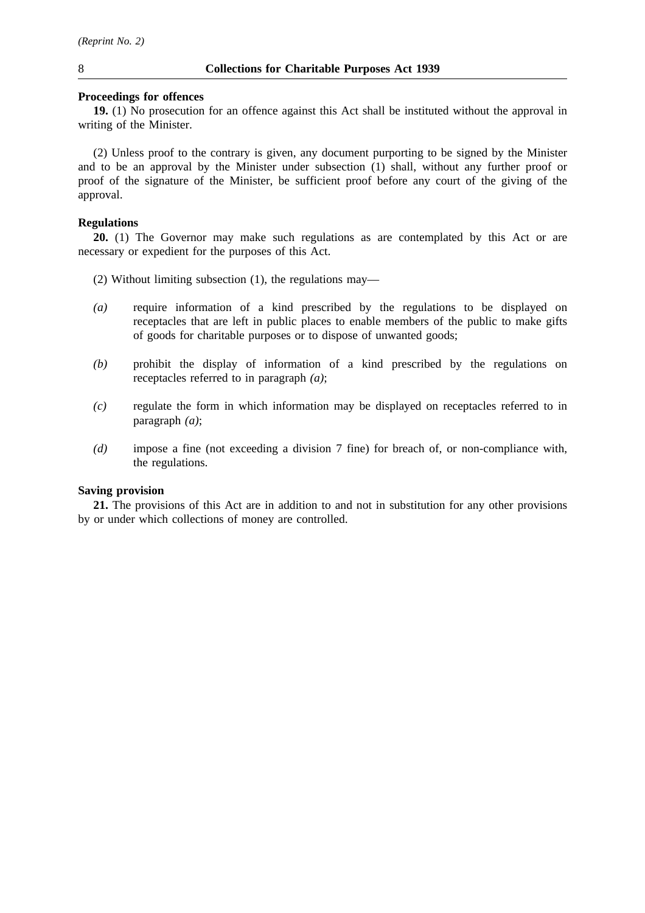#### **Proceedings for offences**

**19.** (1) No prosecution for an offence against this Act shall be instituted without the approval in writing of the Minister.

(2) Unless proof to the contrary is given, any document purporting to be signed by the Minister and to be an approval by the Minister under subsection (1) shall, without any further proof or proof of the signature of the Minister, be sufficient proof before any court of the giving of the approval.

## **Regulations**

**20.** (1) The Governor may make such regulations as are contemplated by this Act or are necessary or expedient for the purposes of this Act.

- (2) Without limiting subsection (1), the regulations may—
- *(a)* require information of a kind prescribed by the regulations to be displayed on receptacles that are left in public places to enable members of the public to make gifts of goods for charitable purposes or to dispose of unwanted goods;
- *(b)* prohibit the display of information of a kind prescribed by the regulations on receptacles referred to in paragraph *(a)*;
- *(c)* regulate the form in which information may be displayed on receptacles referred to in paragraph *(a)*;
- *(d)* impose a fine (not exceeding a division 7 fine) for breach of, or non-compliance with, the regulations.

## **Saving provision**

**21.** The provisions of this Act are in addition to and not in substitution for any other provisions by or under which collections of money are controlled.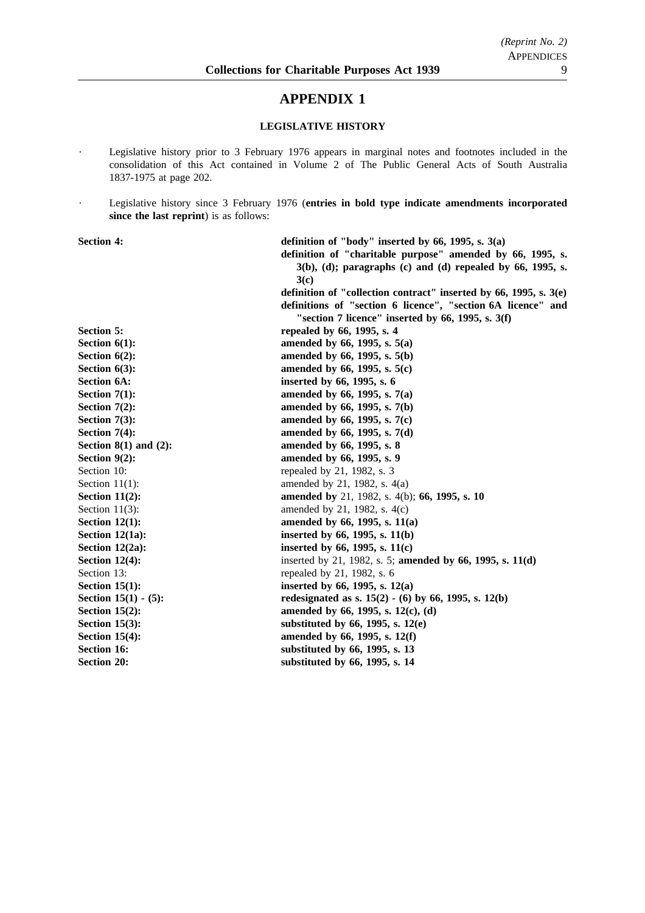## **APPENDIX 1**

## **LEGISLATIVE HISTORY**

- Legislative history prior to 3 February 1976 appears in marginal notes and footnotes included in the  $\ddot{\phantom{0}}$ consolidation of this Act contained in Volume 2 of The Public General Acts of South Australia 1837-1975 at page 202.
- Legislative history since 3 February 1976 (**entries in bold type indicate amendments incorporated**  $\ddot{\phantom{a}}$ **since the last reprint**) is as follows:

| <b>Section 4:</b>          | definition of "body" inserted by 66, 1995, s. $3(a)$                |
|----------------------------|---------------------------------------------------------------------|
|                            | definition of "charitable purpose" amended by 66, 1995, s.          |
|                            | $3(b)$ , (d); paragraphs (c) and (d) repealed by 66, 1995, s.       |
|                            | 3(c)                                                                |
|                            | definition of "collection contract" inserted by 66, 1995, s. $3(e)$ |
|                            | definitions of "section 6 licence", "section 6A licence" and        |
|                            | "section 7 licence" inserted by $66$ , 1995, s. $3(f)$              |
| <b>Section 5:</b>          | repealed by 66, 1995, s. 4                                          |
| Section $6(1)$ :           | amended by 66, 1995, s. 5(a)                                        |
| Section $6(2)$ :           | amended by 66, 1995, s. 5(b)                                        |
| Section $6(3)$ :           | amended by 66, 1995, s. 5(c)                                        |
| <b>Section 6A:</b>         | inserted by 66, 1995, s. 6                                          |
| Section $7(1)$ :           | amended by 66, 1995, s. 7(a)                                        |
| Section $7(2)$ :           | amended by 66, 1995, s. 7(b)                                        |
| Section $7(3)$ :           | amended by 66, 1995, s. 7(c)                                        |
| Section $7(4)$ :           | amended by 66, 1995, s. 7(d)                                        |
| Section $8(1)$ and $(2)$ : | amended by 66, 1995, s. 8                                           |
| Section $9(2)$ :           | amended by 66, 1995, s. 9                                           |
| Section 10:                | repealed by 21, 1982, s. 3                                          |
| Section $11(1)$ :          | amended by 21, 1982, s. 4(a)                                        |
| Section $11(2)$ :          | amended by 21, 1982, s. 4(b); 66, 1995, s. 10                       |
| Section $11(3)$ :          | amended by 21, 1982, s. 4(c)                                        |
| Section $12(1)$ :          | amended by 66, 1995, s. 11(a)                                       |
| Section $12(1a)$ :         | inserted by 66, 1995, s. 11(b)                                      |
| Section $12(2a)$ :         | inserted by 66, 1995, s. $11(c)$                                    |
| Section $12(4)$ :          | inserted by 21, 1982, s. 5; amended by 66, 1995, s. 11(d)           |
| Section 13:                | repealed by 21, 1982, s. 6                                          |
| Section $15(1)$ :          | inserted by 66, 1995, s. $12(a)$                                    |
| Section $15(1) - (5)$ :    | redesignated as s. $15(2) - (6)$ by 66, 1995, s. 12(b)              |
| Section $15(2)$ :          | amended by 66, 1995, s. 12(c), (d)                                  |
| Section $15(3)$ :          | substituted by $66$ , 1995, s. 12(e)                                |
| Section $15(4)$ :          | amended by 66, 1995, s. 12(f)                                       |
| <b>Section 16:</b>         | substituted by 66, 1995, s. 13                                      |
| <b>Section 20:</b>         | substituted by 66, 1995, s. 14                                      |
|                            |                                                                     |